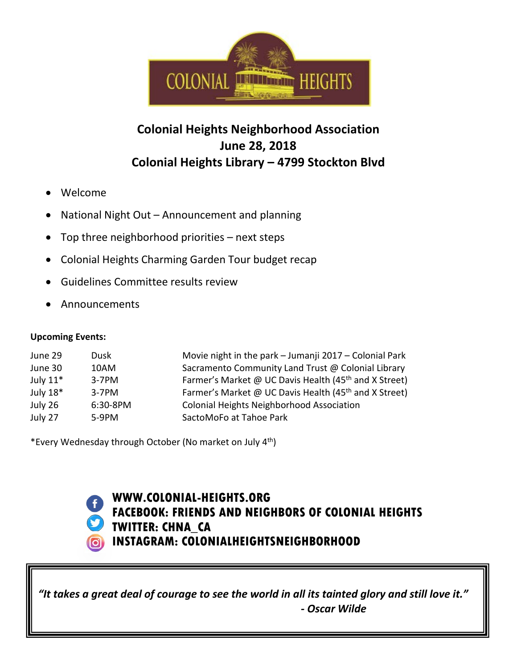

## **Colonial Heights Neighborhood Association June 28, 2018 Colonial Heights Library – 4799 Stockton Blvd**

- Welcome
- National Night Out Announcement and planning
- Top three neighborhood priorities  $-$  next steps
- Colonial Heights Charming Garden Tour budget recap
- Guidelines Committee results review
- Announcements

## **Upcoming Events:**

| June 29    | Dusk     | Movie night in the park - Jumanji 2017 - Colonial Park            |
|------------|----------|-------------------------------------------------------------------|
| June 30    | 10AM     | Sacramento Community Land Trust @ Colonial Library                |
| July $11*$ | $3-7PM$  | Farmer's Market @ UC Davis Health (45 <sup>th</sup> and X Street) |
| July 18*   | $3-7PM$  | Farmer's Market @ UC Davis Health (45 <sup>th</sup> and X Street) |
| July 26    | 6:30-8PM | <b>Colonial Heights Neighborhood Association</b>                  |
| July 27    | $5-9PM$  | SactoMoFo at Tahoe Park                                           |

\*Every Wednesday through October (No market on July 4th)



**WWW.COLONIAL-HEIGHTS.ORG FACEBOOK: FRIENDS AND NEIGHBORS OF COLONIAL HEIGHTS TWITTER: CHNA\_CA INSTAGRAM: COLONIALHEIGHTSNEIGHBORHOOD**

*"It takes a great deal of courage to see the world in all its tainted glory and still love it." - Oscar Wilde*